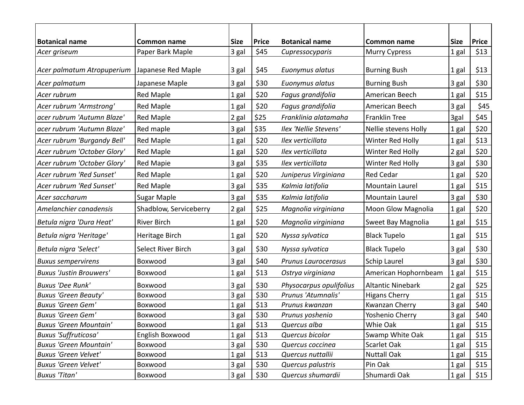| <b>Botanical name</b>          | Common name            | <b>Size</b> | <b>Price</b> | <b>Botanical name</b>      | <b>Common name</b>        | <b>Size</b> | <b>Price</b> |
|--------------------------------|------------------------|-------------|--------------|----------------------------|---------------------------|-------------|--------------|
| Acer griseum                   | Paper Bark Maple       | 3 gal       | \$45         | Cupressocyparis            | <b>Murry Cypress</b>      | 1 gal       | \$13         |
|                                |                        |             |              |                            |                           |             |              |
| Acer palmatum Atropuperium     | Japanese Red Maple     | 3 gal       | \$45         | Euonymus alatus            | <b>Burning Bush</b>       | 1 gal       | \$13         |
| Acer palmatum                  | Japanese Maple         | 3 gal       | \$30         | Euonymus alatus            | <b>Burning Bush</b>       | 3 gal       | \$30         |
| Acer rubrum                    | <b>Red Maple</b>       | 1 gal       | \$20         | Fagus grandifolia          | American Beech            | 1 gal       | \$15         |
| Acer rubrum 'Armstrong'        | <b>Red Maple</b>       | 1 gal       | \$20         | Fagus grandifolia          | American Beech            | $3$ gal     | \$45         |
| acer rubrum 'Autumn Blaze'     | <b>Red Maple</b>       | 2 gal       | \$25         | Franklinia alatamaha       | <b>Franklin Tree</b>      | 3gal        | \$45         |
| acer rubrum 'Autumn Blaze'     | Red maple              | 3 gal       | \$35         | Ilex 'Nellie Stevens'      | Nellie stevens Holly      | 1 gal       | \$20         |
| Acer rubrum 'Burgandy Bell'    | <b>Red Maple</b>       | 1 gal       | \$20         | Ilex verticillata          | Winter Red Holly          | 1 gal       | \$13         |
| Acer rubrum 'October Glory'    | <b>Red Maple</b>       | 1 gal       | \$20         | Ilex verticillata          | Winter Red Holly          | 2 gal       | \$20         |
| Acer rubrum 'October Glory'    | <b>Red Mapie</b>       | 3 gal       | \$35         | Ilex verticillata          | Winter Red Holly          | 3 gal       | \$30         |
| Acer rubrum 'Red Sunset'       | <b>Red Maple</b>       | 1 gal       | \$20         | Juniperus Virginiana       | <b>Red Cedar</b>          | 1 gal       | \$20         |
| Acer rubrum 'Red Sunset'       | <b>Red Maple</b>       | 3 gal       | \$35         | Kalmia latifolia           | Mountain Laurel           | 1 gal       | \$15         |
| Acer saccharum                 | <b>Sugar Maple</b>     | 3 gal       | \$35         | Kalmia latifolia           | Mountain Laurel           | 3 gal       | \$30         |
| Amelanchier canadensis         | Shadblow, Serviceberry | 2 gal       | \$25         | Magnolia virginiana        | <b>Moon Glow Magnolia</b> | 1 gal       | \$20         |
| Betula nigra 'Dura Heat'       | <b>River Birch</b>     | 1 gal       | \$20         | Magnolia virginiana        | Sweet Bay Magnolia        | 1 gal       | \$15         |
| Betula nigra 'Heritage'        | Heritage Birch         | 1 gal       | \$20         | Nyssa sylvatica            | <b>Black Tupelo</b>       | 1 gal       | \$15         |
| Betula nigra 'Select'          | Select River Birch     | 3 gal       | \$30         | Nyssa sylvatica            | <b>Black Tupelo</b>       | 3 gal       | \$30         |
| <b>Buxus sempervirens</b>      | Boxwood                | 3 gal       | \$40         | <b>Prunus Laurocerasus</b> | <b>Schip Laurel</b>       | 3 gal       | \$30         |
| <b>Buxus 'Justin Brouwers'</b> | Boxwood                | 1 gal       | \$13         | Ostrya virginiana          | American Hophornbeam      | 1 gal       | \$15         |
| <b>Buxus 'Dee Runk'</b>        | Boxwood                | 3 gal       | \$30         | Physocarpus opulifolius    | <b>Altantic Ninebark</b>  | 2 gal       | \$25         |
| <b>Buxus 'Green Beauty'</b>    | Boxwood                | 3 gal       | \$30         | Prunus 'Atumnalis'         | <b>Higans Cherry</b>      | 1 gal       | \$15         |
| <b>Buxus 'Green Gem'</b>       | Boxwood                | 1 gal       | \$13         | Prunus kwanzan             | Kwanzan Cherry            | 3 gal       | \$40         |
| <b>Buxus 'Green Gem'</b>       | Boxwood                | 3 gal       | \$30         | Prunus yoshenio            | Yoshenio Cherry           | 3 gal       | \$40         |
| <b>Buxus 'Green Mountain'</b>  | Boxwood                | 1 gal       | \$13         | Quercus alba               | Whie Oak                  | 1 gal       | \$15         |
| <b>Buxus 'Suffruticosa'</b>    | English Boxwood        | 1 gal       | \$13         | Quercus bicolor            | Swamp White Oak           | 1 gal       | \$15         |
| <b>Buxus 'Green Mountain'</b>  | Boxwood                | 3 gal       | \$30         | Quercus coccinea           | Scarlet Oak               | 1 gal       | \$15         |
| Buxus 'Green Velvet'           | Boxwood                | 1 gal       | \$13         | Quercus nuttallii          | <b>Nuttall Oak</b>        | 1 gal       | \$15         |
| <b>Buxus 'Green Velvet'</b>    | Boxwood                | 3 gal       | \$30         | Quercus palustris          | Pin Oak                   | 1 gal       | \$15         |
| <b>Buxus 'Titan'</b>           | Boxwood                | 3 gal       | \$30         | Quercus shumardii          | Shumardi Oak              | 1 gal       | \$15         |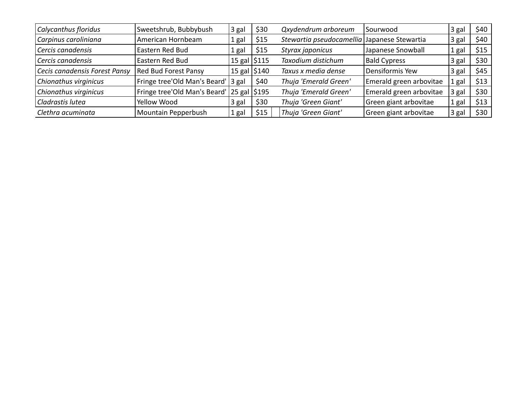| Calycanthus floridus          | Sweetshrub, Bubbybush                     | 3 gal                     | \$30 | Qxydendrum arboreum                         | Sourwood                | 3 gal | \$40 |
|-------------------------------|-------------------------------------------|---------------------------|------|---------------------------------------------|-------------------------|-------|------|
| Carpinus caroliniana          | American Hornbeam                         | 1 gal                     | \$15 | Stewartia pseudocamellia Japanese Stewartia |                         | 3 gal | \$40 |
| Cercis canadensis             | Eastern Red Bud                           | 1 gal                     | \$15 | Styrax japonicus                            | Japanese Snowball       | 1 gal | \$15 |
| Cercis canadensis             | Eastern Red Bud                           | 15 gal $\frac{5115}{ }$   |      | Taxodium distichum                          | <b>Bald Cypress</b>     | 3 gal | \$30 |
| Cecis canadensis Forest Pansy | Red Bud Forest Pansy                      | $15$ gal $\frac{15}{240}$ |      | Taxus x media dense                         | Densiformis Yew         | 3 gal | \$45 |
| Chionathus virginicus         | Fringe tree'Old Man's Beard' 3 gal        |                           | \$40 | Thuja 'Emerald Green'                       | Emerald green arbovitae | 1 gal | \$13 |
| Chionathus virginicus         | Fringe tree'Old Man's Beard' 25 gal \$195 |                           |      | Thuja 'Emerald Green'                       | Emerald green arbovitae | 3 gal | \$30 |
| Cladrastis lutea              | Yellow Wood                               | 3 gal                     | \$30 | Thuja 'Green Giant'                         | Green giant arbovitae   | 1 gal | \$13 |
| Clethra acuminata             | Mountain Pepperbush                       | 1 gal                     | \$15 | Thuja 'Green Giant'                         | Green giant arbovitae   | 3 gal | \$30 |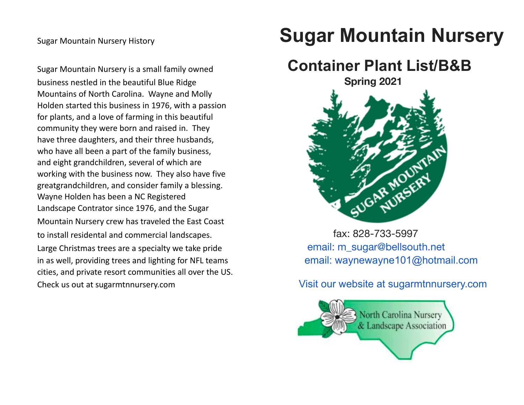business nestled in the beautiful Blue Ridge **Spring 2021** Spring 2021 Mountains of North Carolina. Wayne and Molly Holden started this business in 1976, with a passion for plants, and a love of farming in this beautiful community they were born and raised in. They have three daughters, and their three husbands, who have all been a part of the family business, and eight grandchildren, several of which are working with the business now. They also have five greatgrandchildren, and consider family a blessing. Wayne Holden has been a NC Registered Landscape Contrator since 1976, and the Sugar Mountain Nursery crew has traveled the East Coast Mountain Nursery crew has traveled the East Coast to install residental and commercial landscapes. The state of the state of tax: 828-733-5997 Large Christmas trees are a specialty we take pride email: m\_sugar@bellsouth.net in as well, providing trees and lighting for NFL teams **email: waynewayne101@hotmail.com** cities, and private resort communities all over the US. Check us out at sugarmtnnursery.com Visit our website at sugarmtnnursery.com

## Sugar Mountain Nursery History **Sugar Mountain Nursery**

## Sugar Mountain Nursery is a small family owned **Container Plant List/B&B**